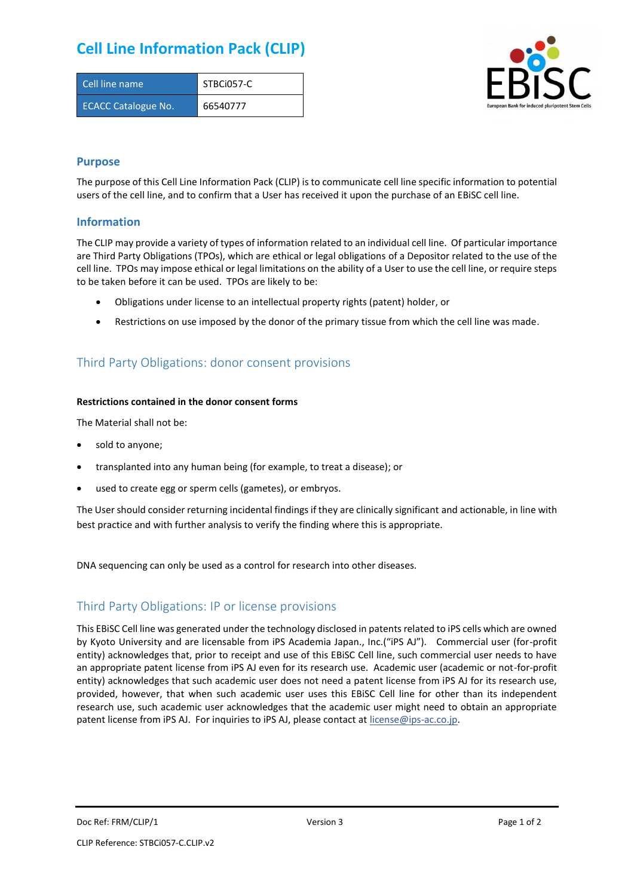## **Cell Line Information Pack (CLIP)**

| Cell line name             | STBCi057-C |
|----------------------------|------------|
| <b>ECACC Catalogue No.</b> | 66540777   |



### **Purpose**

The purpose of this Cell Line Information Pack (CLIP) is to communicate cell line specific information to potential users of the cell line, and to confirm that a User has received it upon the purchase of an EBiSC cell line.

### **Information**

The CLIP may provide a variety of types of information related to an individual cell line. Of particular importance are Third Party Obligations (TPOs), which are ethical or legal obligations of a Depositor related to the use of the cell line. TPOs may impose ethical or legal limitations on the ability of a User to use the cell line, or require steps to be taken before it can be used. TPOs are likely to be:

- Obligations under license to an intellectual property rights (patent) holder, or
- Restrictions on use imposed by the donor of the primary tissue from which the cell line was made.

## Third Party Obligations: donor consent provisions

#### **Restrictions contained in the donor consent forms**

The Material shall not be:

- sold to anyone;
- transplanted into any human being (for example, to treat a disease); or
- used to create egg or sperm cells (gametes), or embryos.

The User should consider returning incidental findings if they are clinically significant and actionable, in line with best practice and with further analysis to verify the finding where this is appropriate.

DNA sequencing can only be used as a control for research into other diseases.

### Third Party Obligations: IP or license provisions

This EBiSC Cell line was generated under the technology disclosed in patents related to iPS cells which are owned by Kyoto University and are licensable from iPS Academia Japan., Inc.("iPS AJ"). Commercial user (for-profit entity) acknowledges that, prior to receipt and use of this EBiSC Cell line, such commercial user needs to have an appropriate patent license from iPS AJ even for its research use. Academic user (academic or not-for-profit entity) acknowledges that such academic user does not need a patent license from iPS AJ for its research use, provided, however, that when such academic user uses this EBiSC Cell line for other than its independent research use, such academic user acknowledges that the academic user might need to obtain an appropriate patent license from iPS AJ. For inquiries to iPS AJ, please contact at [license@ips-ac.co.jp.](mailto:license@ips-ac.co.jp)